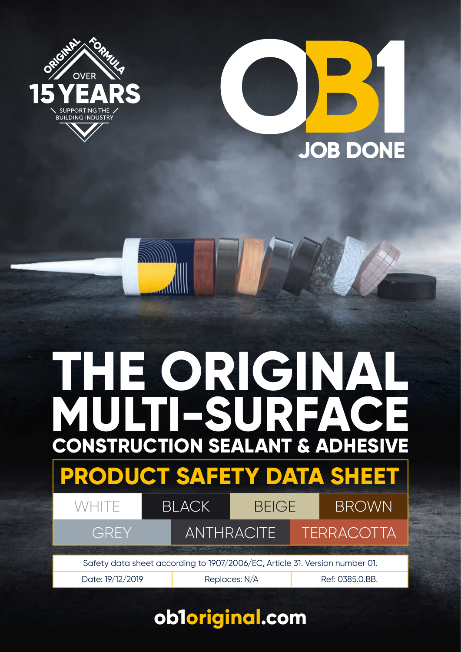



# **CONSTRUCTION SEALANT & ADHESIVE MULTI-SURFACE THE ORIGINAL**



BLACK BEIGE BROWN

GREY ANTHRACITE TERRACOTTA

Safety data sheet according to 1907/2006/EC, Article 31. Version number 01.

Date: 19/12/2019 | Replaces: N/A Ref: 0385.0.BB.

### Safety data sheet according to 1907/2006/EC, Article 31. **ob1original.com**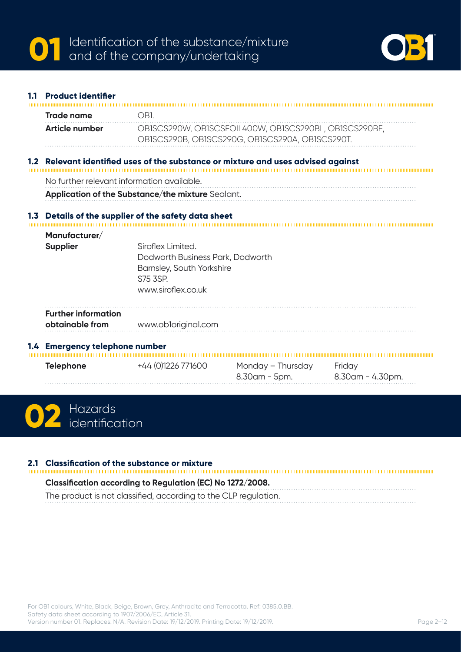

# **1.1 Product identifier Trade name** OB1. **Article number** OB1SCS290W, OB1SCSFOIL400W, OB1SCS290BL, OB1SCS290BE, OB1SCS290B, OB1SCS290G, OB1SCS290A, OB1SCS290T. **1.2 Relevant identified uses of the substance or mixture and uses advised against** No further relevant information available. **Application of the Substance/the mixture** Sealant. **1.3 Details of the supplier of the safety data sheet Manufacturer/ Supplier Siroflex Limited.** Dodworth Business Park, Dodworth Barnsley, South Yorkshire S75 3SP. www.siroflex.co.uk **Further information obtainable from** www.ob1original.com **1.4 Emergency telephone number Telephone**  $+44 (0)1226 771600$  Monday – Thursday Friday 8.30am - 5pm. 8.30am - 4.30pm.



### **2.1 Classification of the substance or mixture**

**Classification according to Regulation (EC) No 1272/2008.** The product is not classified, according to the CLP regulation.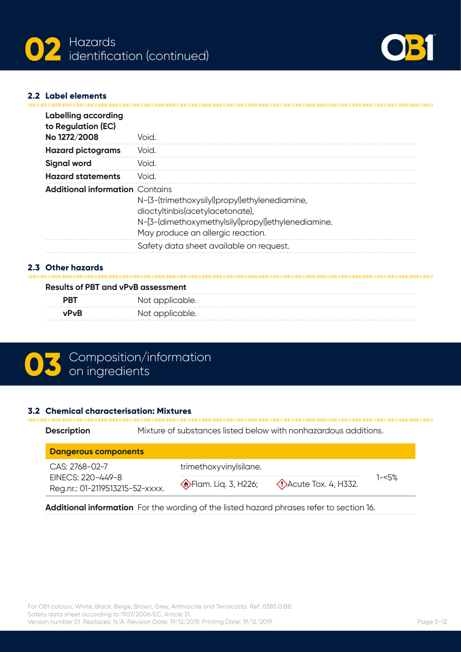



#### **2.2 Label elements**

| <b>Labelling according</b><br>to Regulation (EC)<br>No 1272/2008 | Void.                                                                                                                                                                       |
|------------------------------------------------------------------|-----------------------------------------------------------------------------------------------------------------------------------------------------------------------------|
| <b>Hazard pictograms</b>                                         | Void.                                                                                                                                                                       |
| <b>Signal word</b>                                               | Void.                                                                                                                                                                       |
| <b>Hazard statements</b>                                         | Void.                                                                                                                                                                       |
| <b>Additional information Contains</b>                           | N-(3-(trimethoxysilyl)propyl)ethylenediamine,<br>dioctyltinbis(acetylacetonate),<br>N-[3-(dimethoxymethylsilyl)propyl]ethylenediamine.<br>May produce an allergic reaction. |
|                                                                  | Safety data sheet available on request.                                                                                                                                     |

## **2.3 Other hazards**

| <b>Results of PBT and vPvB assessment</b> |                 |  |  |
|-------------------------------------------|-----------------|--|--|
| <b>PRT</b>                                | Not applicable. |  |  |
| <b>vPvR</b>                               | Not applicable. |  |  |

# **03** Composition/information

# **3.2 Chemical characterisation: Mixtures**

| <b>Description</b>                                   | Mixture of substances listed below with nonhazardous additions.     |
|------------------------------------------------------|---------------------------------------------------------------------|
| <b>Dangerous components</b>                          |                                                                     |
| $CAS: 2768 - 02 - 7$                                 | trimethoxyvinylsilane.                                              |
| EINECS: 220-449-8<br>Reg.nr.: 01-2119513215-52-xxxx. | $1 - 5\%$<br>SFlam. Liq. 3, H226;<br>$\Diamond$ Acute Tox. 4, H332. |

**Additional information** For the wording of the listed hazard phrases refer to section 16.

. . . . . . . . . . . .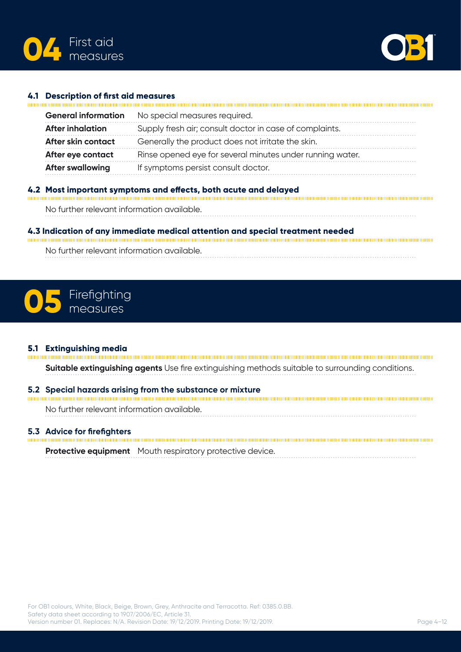



#### **4.1 Description of first aid measures**

| <b>General information</b> | No special measures required.                             |
|----------------------------|-----------------------------------------------------------|
| <b>After inhalation</b>    | Supply fresh air; consult doctor in case of complaints.   |
| After skin contact         | Generally the product does not irritate the skin.         |
| After eye contact          | Rinse opened eye for several minutes under running water. |
| <b>After swallowing</b>    | If symptoms persist consult doctor.                       |
|                            |                                                           |

### **4.2 Most important symptoms and effects, both acute and delayed**

No further relevant information available.

### **4.3 Indication of any immediate medical attention and special treatment needed**

No further relevant information available.

# Firefighting **05** measures

**5.1 Extinguishing media**

**Suitable extinguishing agents** Use fire extinguishing methods suitable to surrounding conditions.

**5.2 Special hazards arising from the substance or mixture**

No further relevant information available.

### **5.3 Advice for firefighters**

**Protective equipment** Mouth respiratory protective device.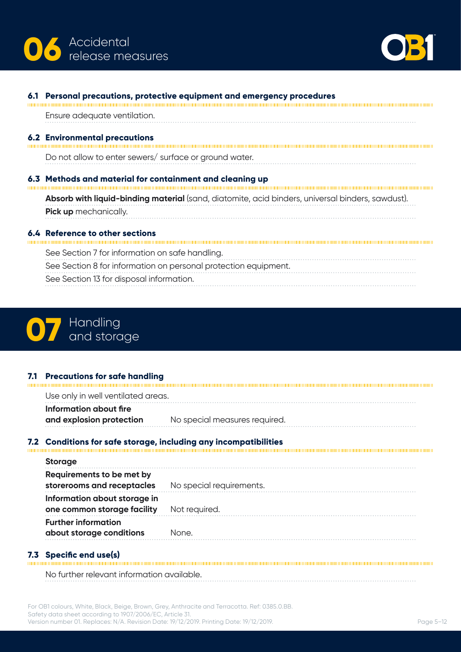



| 6.1 | Personal precautions, protective equipment and emergency procedures                              |
|-----|--------------------------------------------------------------------------------------------------|
|     | Ensure adequate ventilation.                                                                     |
|     | <b>6.2 Environmental precautions</b>                                                             |
|     | Do not allow to enter sewers/ surface or ground water.                                           |
|     | 6.3 Methods and material for containment and cleaning up                                         |
|     | Absorb with liquid-binding material (sand, diatomite, acid binders, universal binders, sawdust). |
|     | <b>Pick up</b> mechanically.                                                                     |
|     | Reference to other sections                                                                      |
|     | See Section 7 for information on safe handling.                                                  |
|     | See Section 8 for information on personal protection equipment.                                  |
|     | See Section 13 for disposal information.                                                         |



**7.1 Precautions for safe handling** Use only in well ventilated areas. **Information about fire and explosion protection** No special measures required. 

## **7.2 Conditions for safe storage, including any incompatibilities**

| <b>Storage</b>                                              |                          |
|-------------------------------------------------------------|--------------------------|
| Requirements to be met by<br>storerooms and receptacles     | No special requirements. |
| Information about storage in<br>one common storage facility | Not required.            |
| <b>Further information</b><br>about storage conditions      | None.                    |

**7.3 Specific end use(s)**  No further relevant information available.

For OB1 colours, White, Black, Beige, Brown, Grey, Anthracite and Terracotta. Ref: 0385.0.BB. Safety data sheet according to 1907/2006/EC, Article 31. Version number 01. Replaces: N/A. Revision Date: 19/12/2019. Printing Date: 19/12/2019.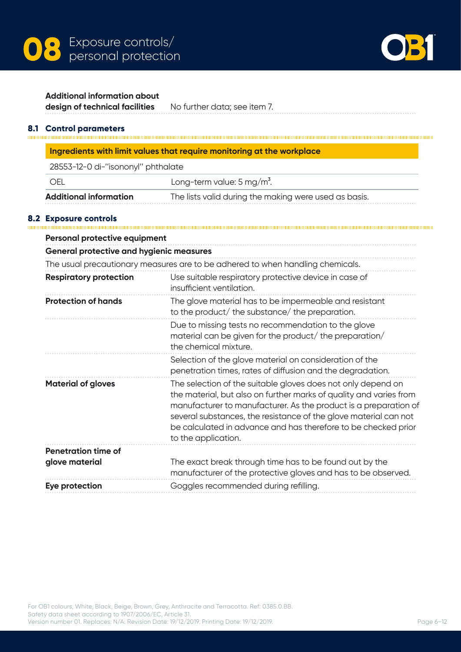



#### **Additional information about**

**design of technical facilities** No further data; see item 7.

**8.1 Control parameters**

| Ingredients with limit values that require monitoring at the workplace |  |
|------------------------------------------------------------------------|--|
| 28553-12-0 di-''isononyl'' nhthalate                                   |  |

| <b>Additional information</b>    | The lists valid during the making were used as basis. |
|----------------------------------|-------------------------------------------------------|
| - OEL                            | Long-term value: $5 \,\mathrm{mg/m^3}$ .              |
| zoooo iz o'ui isononyi phundiate |                                                       |

### **8.2 Exposure controls**

| <b>Personal protective equipment</b>            |                                                                                                                                                                                                                                                                                                                                                                     |
|-------------------------------------------------|---------------------------------------------------------------------------------------------------------------------------------------------------------------------------------------------------------------------------------------------------------------------------------------------------------------------------------------------------------------------|
| <b>General protective and hygienic measures</b> |                                                                                                                                                                                                                                                                                                                                                                     |
|                                                 | The usual precautionary measures are to be adhered to when handling chemicals.                                                                                                                                                                                                                                                                                      |
| <b>Respiratory protection</b>                   | Use suitable respiratory protective device in case of<br>insufficient ventilation.                                                                                                                                                                                                                                                                                  |
| <b>Protection of hands</b>                      | The glove material has to be impermeable and resistant<br>to the product/ the substance/ the preparation.                                                                                                                                                                                                                                                           |
|                                                 | Due to missing tests no recommendation to the glove<br>material can be given for the product/the preparation/<br>the chemical mixture.                                                                                                                                                                                                                              |
|                                                 | Selection of the glove material on consideration of the<br>penetration times, rates of diffusion and the degradation.                                                                                                                                                                                                                                               |
| <b>Material of gloves</b>                       | The selection of the suitable gloves does not only depend on<br>the material, but also on further marks of quality and varies from<br>manufacturer to manufacturer. As the product is a preparation of<br>several substances, the resistance of the glove material can not<br>be calculated in advance and has therefore to be checked prior<br>to the application. |
| <b>Penetration time of</b><br>glove material    | The exact break through time has to be found out by the<br>manufacturer of the protective gloves and has to be observed.                                                                                                                                                                                                                                            |
| Eye protection                                  | Goggles recommended during refilling.                                                                                                                                                                                                                                                                                                                               |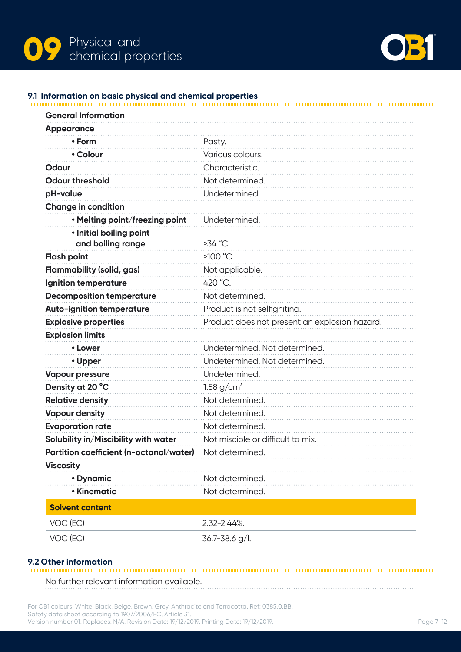



### **9.1 Information on basic physical and chemical properties**

| <b>General Information</b>              |                                               |
|-----------------------------------------|-----------------------------------------------|
| <b>Appearance</b>                       |                                               |
| • Form                                  | Pasty.                                        |
| • Colour                                | Various colours.                              |
| Odour                                   | Characteristic.                               |
| <b>Odour threshold</b>                  | Not determined.                               |
| pH-value                                | Undetermined.                                 |
| <b>Change in condition</b>              |                                               |
| • Melting point/freezing point          | Undetermined.                                 |
| · Initial boiling point                 |                                               |
| and boiling range                       | $>34$ °C.                                     |
| <b>Flash point</b>                      | $>100$ °C.                                    |
| <b>Flammability (solid, gas)</b>        | Not applicable.                               |
| Ignition temperature                    | 420 °C.                                       |
| <b>Decomposition temperature</b>        | Not determined.                               |
| <b>Auto-ignition temperature</b>        | Product is not selfigniting.                  |
| <b>Explosive properties</b>             | Product does not present an explosion hazard. |
| <b>Explosion limits</b>                 |                                               |
| • Lower                                 | Undetermined. Not determined.                 |
| • Upper                                 | Undetermined. Not determined.                 |
| <b>Vapour pressure</b>                  | Undetermined.                                 |
| Density at 20 °C                        | 1.58 $g/cm^{3}$                               |
| <b>Relative density</b>                 | Not determined.                               |
| <b>Vapour density</b>                   | Not determined.                               |
| <b>Evaporation rate</b>                 | Not determined.                               |
| Solubility in/Miscibility with water    | Not miscible or difficult to mix.             |
| Partition coefficient (n-octanol/water) | Not determined.                               |
| <b>Viscosity</b>                        |                                               |
| • Dynamic                               | Not determined.                               |
| • Kinematic                             | Not determined.                               |
| <b>Solvent content</b>                  |                                               |
| VOC (EC)                                | $2.32 - 2.44$ %.                              |
| VOC (EC)                                | $36.7 - 38.6$ g/l.                            |
|                                         |                                               |

**9.2 Other information** No further relevant information available.

For OB1 colours, White, Black, Beige, Brown, Grey, Anthracite and Terracotta. Ref: 0385.0.BB. Safety data sheet according to 1907/2006/EC, Article 31. Version number 01. Replaces: N/A. Revision Date: 19/12/2019. Printing Date: 19/12/2019.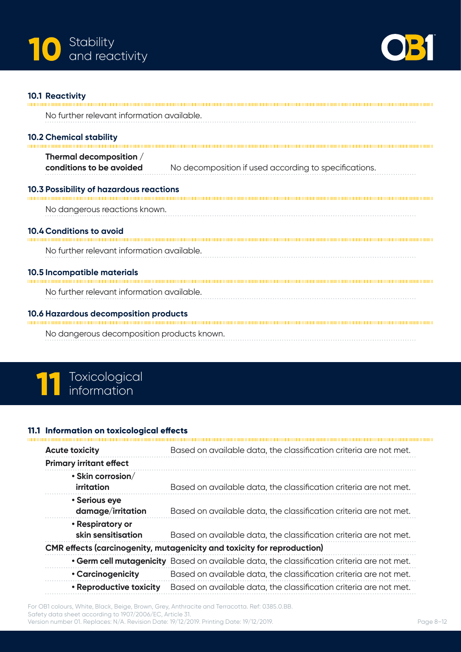



#### **10.1 Reactivity**

| No further relevant information available.                                          |                                                       |  |  |  |
|-------------------------------------------------------------------------------------|-------------------------------------------------------|--|--|--|
| <b>10.2 Chemical stability</b>                                                      |                                                       |  |  |  |
| Thermal decomposition /<br>conditions to be avoided                                 | No decomposition if used according to specifications. |  |  |  |
| 10.3 Possibility of hazardous reactions                                             |                                                       |  |  |  |
| No dangerous reactions known.                                                       |                                                       |  |  |  |
| <b>10.4 Conditions to avoid</b>                                                     |                                                       |  |  |  |
| No further relevant information available.                                          |                                                       |  |  |  |
| 10.5 Incompatible materials                                                         |                                                       |  |  |  |
| No further relevant information available.                                          |                                                       |  |  |  |
| 10.6 Hazardous decomposition products<br>No dangerous decomposition products known. |                                                       |  |  |  |

# **11** Toxicological information

## **11.1 Information on toxicological effects**

| <b>Acute toxicity</b>                        | Based on available data, the classification criteria are not met.                          |
|----------------------------------------------|--------------------------------------------------------------------------------------------|
| <b>Primary irritant effect</b>               |                                                                                            |
| $\cdot$ Skin corrosion/<br><b>irritation</b> | Based on available data, the classification criteria are not met.                          |
| • Serious eye<br>damage/irritation           | Based on available data, the classification criteria are not met.                          |
| • Respiratory or<br>skin sensitisation       | Based on available data, the classification criteria are not met.                          |
|                                              | CMR effects (carcinogenity, mutagenicity and toxicity for reproduction)                    |
|                                              | . Germ cell mutagenicity Based on available data, the classification criteria are not met. |
| • Carcinogenicity                            | Based on available data, the classification criteria are not met.                          |
| • Reproductive toxicity                      | Based on available data, the classification criteria are not met.                          |
|                                              |                                                                                            |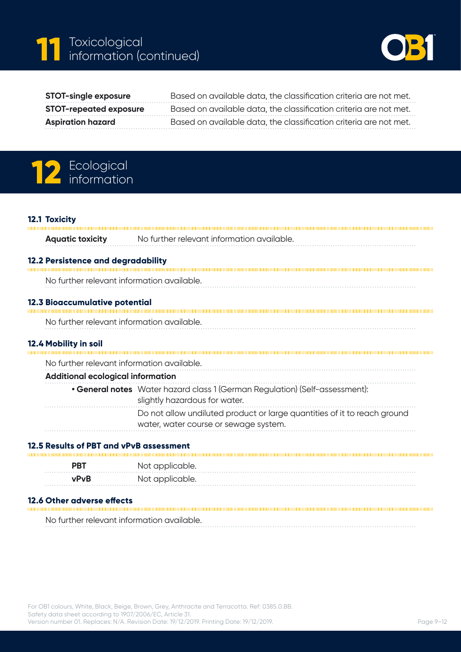



| <b>STOT-single exposure</b>   | Based on available data, the classification criteria are not met. |
|-------------------------------|-------------------------------------------------------------------|
| <b>STOT-repeated exposure</b> | Based on available data, the classification criteria are not met. |
| <b>Aspiration hazard</b>      | Based on available data, the classification criteria are not met. |

# 12 Ecological **12** information

#### **12.1 Toxicity**

Ï

|                                          | <b>Aquatic toxicity</b>                    | No further relevant information available.                                                                        |
|------------------------------------------|--------------------------------------------|-------------------------------------------------------------------------------------------------------------------|
|                                          | 12.2 Persistence and degradability         |                                                                                                                   |
|                                          | No further relevant information available. |                                                                                                                   |
|                                          | 12.3 Bioaccumulative potential             |                                                                                                                   |
|                                          | No further relevant information available. |                                                                                                                   |
|                                          | 12.4 Mobility in soil                      |                                                                                                                   |
|                                          | No further relevant information available. |                                                                                                                   |
| <b>Additional ecological information</b> |                                            |                                                                                                                   |
|                                          |                                            | • General notes Water hazard class 1 (German Regulation) (Self-assessment):<br>slightly hazardous for water.      |
|                                          |                                            | Do not allow undiluted product or large quantities of it to reach ground<br>water, water course or sewage system. |
|                                          |                                            |                                                                                                                   |

## **12.5 Results of PBT and vPvB assessment**

| <b>PRT</b> | Not applicable. |
|------------|-----------------|
| vPvB       | Not applicable. |

**12.6 Other adverse effects**

No further relevant information available.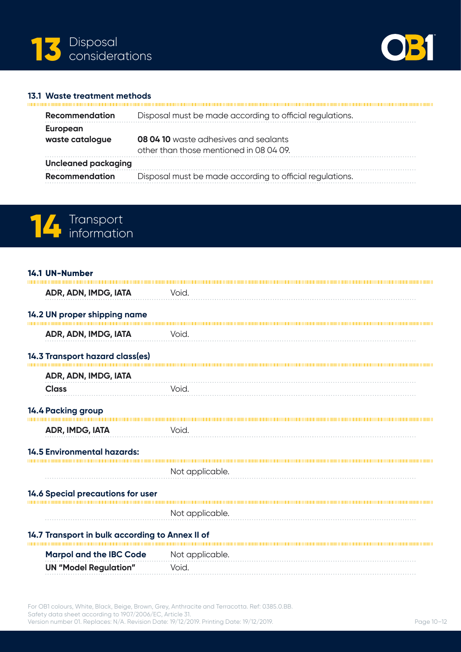



#### **13.1 Waste treatment methods**

mm

| <b>Recommendation</b>       | Disposal must be made according to official regulations.                                |
|-----------------------------|-----------------------------------------------------------------------------------------|
| European<br>waste catalogue | <b>08 04 10</b> waste adhesives and sealants<br>other than those mentioned in 08 04 09. |
| <b>Uncleaned packaging</b>  |                                                                                         |
| <b>Recommendation</b>       | Disposal must be made according to official regulations.                                |



# **14.1 UN-Number ADR, ADN, IMDG, IATA** Void. **14.2 UN proper shipping name ADR, ADN, IMDG, IATA** Void. **14.3 Transport hazard class(es) ADR, ADN, IMDG, IATA Class** Void. **14.4 Packing group ADR, IMDG, IATA Void. 14.5 Environmental hazards:** Not applicable. **14.6 Special precautions for user** Not applicable. **14.7 Transport in bulk according to Annex II of Marpol and the IBC Code** Not applicable. **UN "Model Regulation"** Void.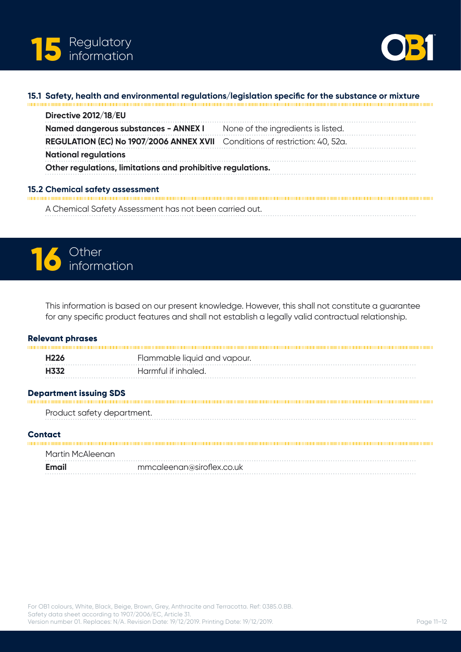



## **15.1 Safety, health and environmental regulations/legislation specific for the substance or mixture**

| Directive 2012/18/EU                                                        |                                    |
|-----------------------------------------------------------------------------|------------------------------------|
| Named dangerous substances - ANNEX I                                        | None of the ingredients is listed. |
| REGULATION (EC) No 1907/2006 ANNEX XVII Conditions of restriction: 40, 52a. |                                    |
| <b>National regulations</b>                                                 |                                    |
| Other regulations, limitations and prohibitive regulations.                 |                                    |
| 15.2 Chemical safety assessment                                             |                                    |

A Chemical Safety Assessment has not been carried out.



This information is based on our present knowledge. However, this shall not constitute a guarantee for any specific product features and shall not establish a legally valid contractual relationship.

#### **Relevant phrases**

| H226 | Flammable liquid and vapour. |
|------|------------------------------|
| H332 | Harmful if inhaled.          |
|      |                              |

**Department issuing SDS**

Product safety department. 

#### **Contact** mmu

| Martin McAleenan |                           |  |
|------------------|---------------------------|--|
| Email            | mmcaleenan@siroflex.co.uk |  |